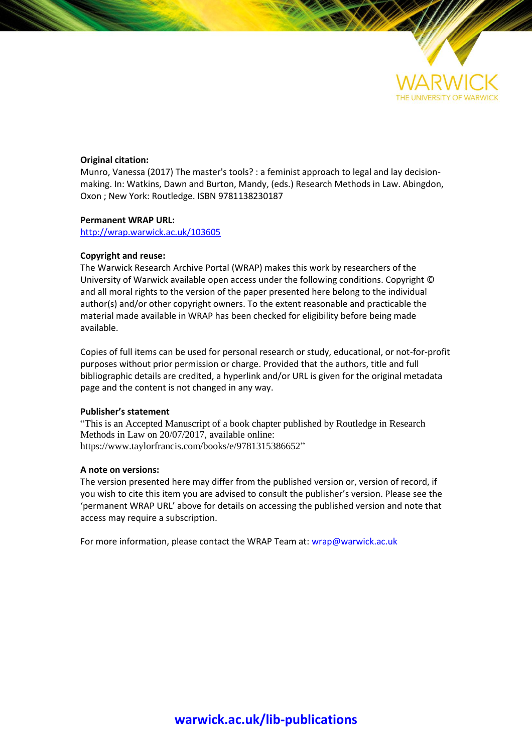

### **Original citation:**

Munro, Vanessa (2017) The master's tools? : a feminist approach to legal and lay decisionmaking. In: Watkins, Dawn and Burton, Mandy, (eds.) Research Methods in Law. Abingdon, Oxon ; New York: Routledge. ISBN 9781138230187

#### **Permanent WRAP URL:**

<http://wrap.warwick.ac.uk/103605>

#### **Copyright and reuse:**

The Warwick Research Archive Portal (WRAP) makes this work by researchers of the University of Warwick available open access under the following conditions. Copyright © and all moral rights to the version of the paper presented here belong to the individual author(s) and/or other copyright owners. To the extent reasonable and practicable the material made available in WRAP has been checked for eligibility before being made available.

Copies of full items can be used for personal research or study, educational, or not-for-profit purposes without prior permission or charge. Provided that the authors, title and full bibliographic details are credited, a hyperlink and/or URL is given for the original metadata page and the content is not changed in any way.

#### **Publisher's statement**

"This is an Accepted Manuscript of a book chapter published by Routledge in Research Methods in Law on 20/07/2017, available online: https://www.taylorfrancis.com/books/e/9781315386652"

#### **A note on versions:**

The version presented here may differ from the published version or, version of record, if you wish to cite this item you are advised to consult the publisher's version. Please see the 'permanent WRAP URL' above for details on accessing the published version and note that access may require a subscription.

For more information, please contact the WRAP Team at[: wrap@warwick.ac.uk](mailto:wrap@warwick.ac.uk)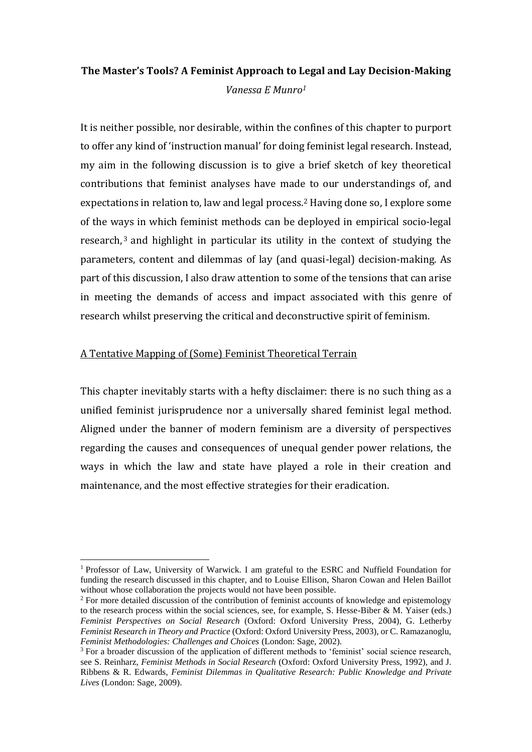# **The Master's Tools? A Feminist Approach to Legal and Lay Decision-Making** *Vanessa E Munro<sup>1</sup>*

It is neither possible, nor desirable, within the confines of this chapter to purport to offer any kind of 'instruction manual' for doing feminist legal research. Instead, my aim in the following discussion is to give a brief sketch of key theoretical contributions that feminist analyses have made to our understandings of, and expectations in relation to, law and legal process.<sup>2</sup> Having done so, I explore some of the ways in which feminist methods can be deployed in empirical socio-legal research,<sup>3</sup> and highlight in particular its utility in the context of studying the parameters, content and dilemmas of lay (and quasi-legal) decision-making. As part of this discussion, I also draw attention to some of the tensions that can arise in meeting the demands of access and impact associated with this genre of research whilst preserving the critical and deconstructive spirit of feminism.

## A Tentative Mapping of (Some) Feminist Theoretical Terrain

This chapter inevitably starts with a hefty disclaimer: there is no such thing as a unified feminist jurisprudence nor a universally shared feminist legal method. Aligned under the banner of modern feminism are a diversity of perspectives regarding the causes and consequences of unequal gender power relations, the ways in which the law and state have played a role in their creation and maintenance, and the most effective strategies for their eradication.

 $\overline{\phantom{a}}$ <sup>1</sup> Professor of Law, University of Warwick. I am grateful to the ESRC and Nuffield Foundation for funding the research discussed in this chapter, and to Louise Ellison, Sharon Cowan and Helen Baillot without whose collaboration the projects would not have been possible.

<sup>&</sup>lt;sup>2</sup> For more detailed discussion of the contribution of feminist accounts of knowledge and epistemology to the research process within the social sciences, see, for example, S. Hesse-Biber & M. Yaiser (eds.) *Feminist Perspectives on Social Research* (Oxford: Oxford University Press, 2004), G. Letherby *Feminist Research in Theory and Practice* (Oxford: Oxford University Press, 2003), or C. Ramazanoglu, *Feminist Methodologies: Challenges and Choices* (London: Sage, 2002).

<sup>&</sup>lt;sup>3</sup> For a broader discussion of the application of different methods to 'feminist' social science research, see S. Reinharz, *Feminist Methods in Social Research* (Oxford: Oxford University Press, 1992), and J. Ribbens & R. Edwards, *Feminist Dilemmas in Qualitative Research: Public Knowledge and Private Lives* (London: Sage, 2009).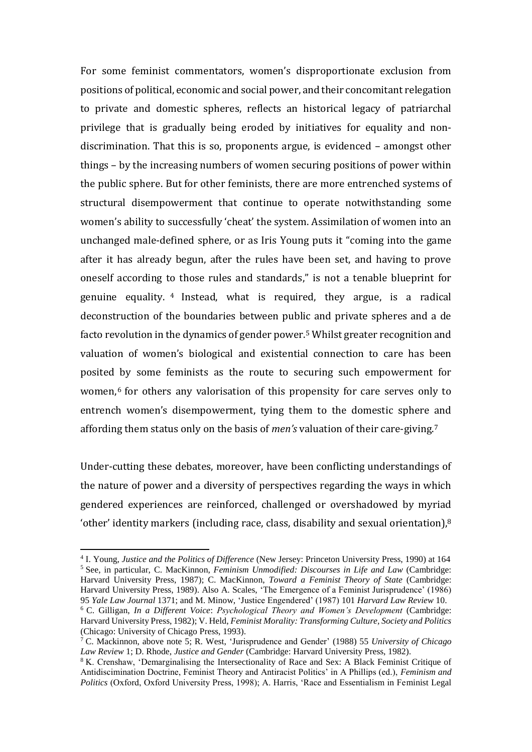For some feminist commentators, women's disproportionate exclusion from positions of political, economic and social power, and their concomitant relegation to private and domestic spheres, reflects an historical legacy of patriarchal privilege that is gradually being eroded by initiatives for equality and nondiscrimination. That this is so, proponents argue, is evidenced – amongst other things – by the increasing numbers of women securing positions of power within the public sphere. But for other feminists, there are more entrenched systems of structural disempowerment that continue to operate notwithstanding some women's ability to successfully 'cheat' the system. Assimilation of women into an unchanged male-defined sphere, or as Iris Young puts it "coming into the game after it has already begun, after the rules have been set, and having to prove oneself according to those rules and standards," is not a tenable blueprint for genuine equality. <sup>4</sup> Instead, what is required, they argue, is a radical deconstruction of the boundaries between public and private spheres and a de facto revolution in the dynamics of gender power. <sup>5</sup> Whilst greater recognition and valuation of women's biological and existential connection to care has been posited by some feminists as the route to securing such empowerment for women, <sup>6</sup> for others any valorisation of this propensity for care serves only to entrench women's disempowerment, tying them to the domestic sphere and affording them status only on the basis of *men's* valuation of their care-giving. 7

Under-cutting these debates, moreover, have been conflicting understandings of the nature of power and a diversity of perspectives regarding the ways in which gendered experiences are reinforced, challenged or overshadowed by myriad 'other' identity markers (including race, class, disability and sexual orientation), $^8$ 

 $\overline{a}$ 

<sup>4</sup> I. Young, *Justice and the Politics of Difference* (New Jersey: Princeton University Press, 1990) at 164 <sup>5</sup> See, in particular, C. MacKinnon, *Feminism Unmodified: Discourses in Life and Law* (Cambridge: Harvard University Press, 1987); C. MacKinnon, *Toward a Feminist Theory of State* (Cambridge: Harvard University Press, 1989). Also A. Scales, 'The Emergence of a Feminist Jurisprudence' (1986) 95 *Yale Law Journal* 1371; and M. Minow, 'Justice Engendered' (1987) 101 *Harvard Law Review* 10. <sup>6</sup> C. Gilligan, *In a Different Voice*: *Psychological Theory and Women's Development* (Cambridge: Harvard University Press, 1982); V. Held, *Feminist Morality: Transforming Culture, Society and Politics* (Chicago: University of Chicago Press, 1993).

<sup>7</sup> C. Mackinnon, above note 5; R. West, 'Jurisprudence and Gender' (1988) 55 *University of Chicago Law Review* 1; D. Rhode, *Justice and Gender* (Cambridge: Harvard University Press, 1982).

<sup>8</sup> K. Crenshaw, 'Demarginalising the Intersectionality of Race and Sex: A Black Feminist Critique of Antidiscimination Doctrine, Feminist Theory and Antiracist Politics' in A Phillips (ed.), *Feminism and Politics* (Oxford, Oxford University Press, 1998); A. Harris, 'Race and Essentialism in Feminist Legal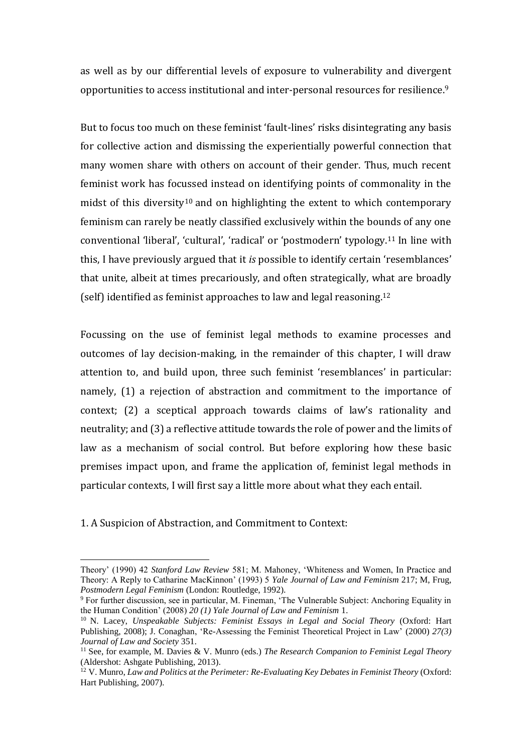as well as by our differential levels of exposure to vulnerability and divergent opportunities to access institutional and inter-personal resources for resilience. 9

But to focus too much on these feminist 'fault-lines' risks disintegrating any basis for collective action and dismissing the experientially powerful connection that many women share with others on account of their gender. Thus, much recent feminist work has focussed instead on identifying points of commonality in the midst of this diversity<sup>10</sup> and on highlighting the extent to which contemporary feminism can rarely be neatly classified exclusively within the bounds of any one conventional 'liberal', 'cultural', 'radical' or 'postmodern' typology. <sup>11</sup> In line with this, I have previously argued that it *is* possible to identify certain 'resemblances' that unite, albeit at times precariously, and often strategically, what are broadly (self) identified as feminist approaches to law and legal reasoning. 12

Focussing on the use of feminist legal methods to examine processes and outcomes of lay decision-making, in the remainder of this chapter, I will draw attention to, and build upon, three such feminist 'resemblances' in particular: namely, (1) a rejection of abstraction and commitment to the importance of context; (2) a sceptical approach towards claims of law's rationality and neutrality; and (3) a reflective attitude towards the role of power and the limits of law as a mechanism of social control. But before exploring how these basic premises impact upon, and frame the application of, feminist legal methods in particular contexts, I will first say a little more about what they each entail.

1. A Suspicion of Abstraction, and Commitment to Context:

Theory' (1990) 42 *Stanford Law Review* 581; M. Mahoney, 'Whiteness and Women, In Practice and Theory: A Reply to Catharine MacKinnon' (1993) 5 *Yale Journal of Law and Feminism* 217; M, Frug, *Postmodern Legal Feminism* (London: Routledge, 1992).

<sup>9</sup> For further discussion, see in particular, M. Fineman, 'The Vulnerable Subject: Anchoring Equality in the Human Condition' (2008) *20 (1) Yale Journal of Law and Feminism* 1.

<sup>10</sup> N. Lacey, *Unspeakable Subjects: Feminist Essays in Legal and Social Theory* (Oxford: Hart Publishing, 2008); J. Conaghan, 'Re-Assessing the Feminist Theoretical Project in Law' (2000) *27(3) Journal of Law and Society* 351.

<sup>11</sup> See, for example, M. Davies & V. Munro (eds.) *The Research Companion to Feminist Legal Theory* (Aldershot: Ashgate Publishing, 2013).

<sup>12</sup> V. Munro, *Law and Politics at the Perimeter: Re-Evaluating Key Debates in Feminist Theory* (Oxford: Hart Publishing, 2007).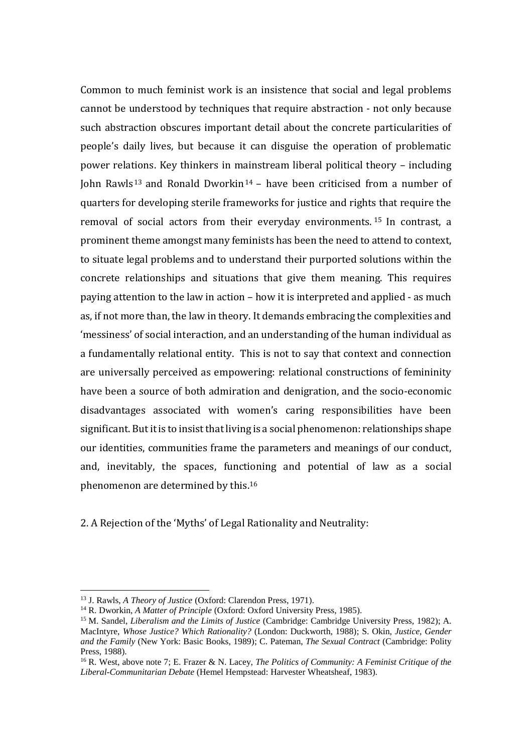Common to much feminist work is an insistence that social and legal problems cannot be understood by techniques that require abstraction - not only because such abstraction obscures important detail about the concrete particularities of people's daily lives, but because it can disguise the operation of problematic power relations. Key thinkers in mainstream liberal political theory – including John Rawls<sup>13</sup> and Ronald Dworkin<sup>14</sup> – have been criticised from a number of quarters for developing sterile frameworks for justice and rights that require the removal of social actors from their everyday environments. <sup>15</sup> In contrast, a prominent theme amongst many feminists has been the need to attend to context, to situate legal problems and to understand their purported solutions within the concrete relationships and situations that give them meaning. This requires paying attention to the law in action – how it is interpreted and applied - as much as, if not more than, the law in theory. It demands embracing the complexities and 'messiness' of social interaction, and an understanding of the human individual as a fundamentally relational entity. This is not to say that context and connection are universally perceived as empowering: relational constructions of femininity have been a source of both admiration and denigration, and the socio-economic disadvantages associated with women's caring responsibilities have been significant. But it is to insist that living is a social phenomenon: relationships shape our identities, communities frame the parameters and meanings of our conduct, and, inevitably, the spaces, functioning and potential of law as a social phenomenon are determined by this. 16

2. A Rejection of the 'Myths' of Legal Rationality and Neutrality:

<sup>13</sup> J. Rawls, *A Theory of Justice* (Oxford: Clarendon Press, 1971).

<sup>&</sup>lt;sup>14</sup> R. Dworkin, *A Matter of Principle* (Oxford: Oxford University Press, 1985).

<sup>15</sup> M. Sandel, *Liberalism and the Limits of Justice* (Cambridge: Cambridge University Press, 1982); A. MacIntyre, *Whose Justice? Which Rationality?* (London: Duckworth, 1988); S. Okin, *Justice, Gender and the Family* (New York: Basic Books, 1989); C. Pateman, *The Sexual Contract* (Cambridge: Polity Press, 1988).

<sup>16</sup> R. West, above note 7; E. Frazer & N. Lacey, *The Politics of Community: A Feminist Critique of the Liberal-Communitarian Debate* (Hemel Hempstead: Harvester Wheatsheaf, 1983).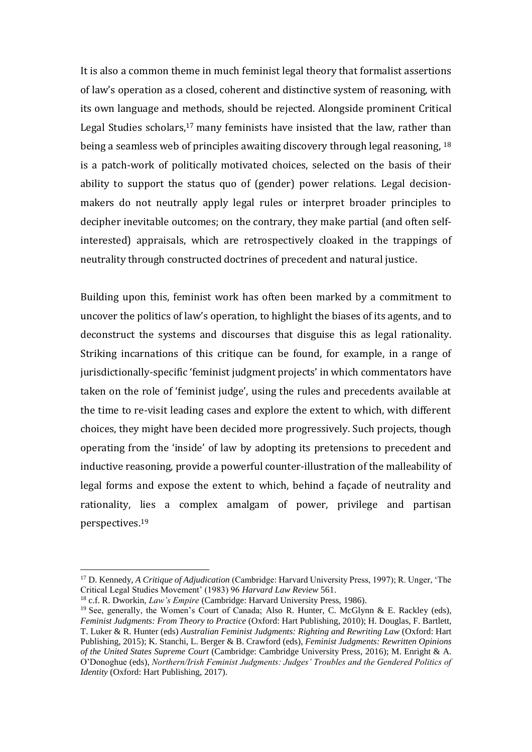It is also a common theme in much feminist legal theory that formalist assertions of law's operation as a closed, coherent and distinctive system of reasoning, with its own language and methods, should be rejected. Alongside prominent Critical Legal Studies scholars,<sup>17</sup> many feminists have insisted that the law, rather than being a seamless web of principles awaiting discovery through legal reasoning,  $^{\rm 18}$ is a patch-work of politically motivated choices, selected on the basis of their ability to support the status quo of (gender) power relations. Legal decisionmakers do not neutrally apply legal rules or interpret broader principles to decipher inevitable outcomes; on the contrary, they make partial (and often selfinterested) appraisals, which are retrospectively cloaked in the trappings of neutrality through constructed doctrines of precedent and natural justice.

Building upon this, feminist work has often been marked by a commitment to uncover the politics of law's operation, to highlight the biases of its agents, and to deconstruct the systems and discourses that disguise this as legal rationality. Striking incarnations of this critique can be found, for example, in a range of jurisdictionally-specific 'feminist judgment projects' in which commentators have taken on the role of 'feminist judge', using the rules and precedents available at the time to re-visit leading cases and explore the extent to which, with different choices, they might have been decided more progressively. Such projects, though operating from the 'inside' of law by adopting its pretensions to precedent and inductive reasoning, provide a powerful counter-illustration of the malleability of legal forms and expose the extent to which, behind a façade of neutrality and rationality, lies a complex amalgam of power, privilege and partisan perspectives. 19

 $\overline{a}$ 

<sup>17</sup> D. Kennedy, *A Critique of Adjudication* (Cambridge: Harvard University Press, 1997); R. Unger, 'The Critical Legal Studies Movement' (1983) 96 *Harvard Law Review* 561.

<sup>18</sup> c.f. R. Dworkin, *Law's Empire* (Cambridge: Harvard University Press, 1986).

<sup>&</sup>lt;sup>19</sup> See, generally, the Women's Court of Canada; Also R. Hunter, C. McGlynn & E. Rackley (eds), *Feminist Judgments: From Theory to Practice* (Oxford: Hart Publishing, 2010); H. Douglas, F. Bartlett, T. Luker & R. Hunter (eds) *Australian Feminist Judgments: Righting and Rewriting Law* (Oxford: Hart Publishing, 2015); K. Stanchi, L. Berger & B. Crawford (eds), *Feminist Judgments: Rewritten Opinions of the United States Supreme Court* (Cambridge: Cambridge University Press, 2016); M. Enright & A. O'Donoghue (eds), *Northern/Irish Feminist Judgments: Judges' Troubles and the Gendered Politics of Identity* (Oxford: Hart Publishing, 2017).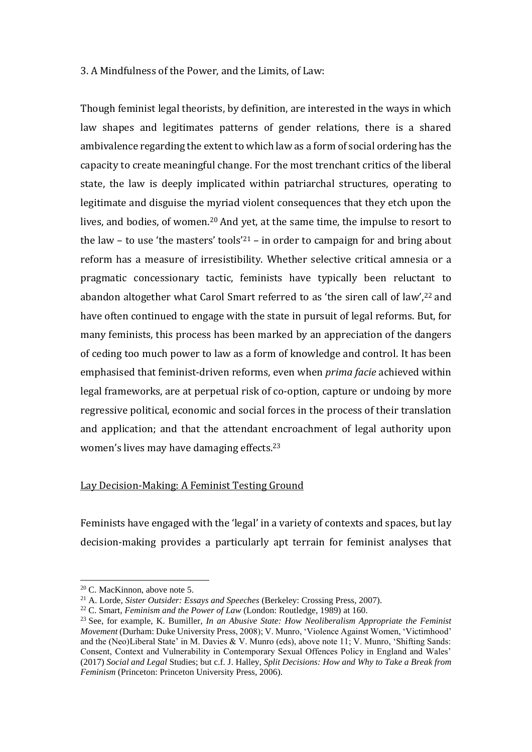## 3. A Mindfulness of the Power, and the Limits, of Law:

Though feminist legal theorists, by definition, are interested in the ways in which law shapes and legitimates patterns of gender relations, there is a shared ambivalence regarding the extent to which law as a form of social ordering has the capacity to create meaningful change. For the most trenchant critics of the liberal state, the law is deeply implicated within patriarchal structures, operating to legitimate and disguise the myriad violent consequences that they etch upon the lives, and bodies, of women. <sup>20</sup> And yet, at the same time, the impulse to resort to the law – to use 'the masters' tools'<sup>21</sup> – in order to campaign for and bring about reform has a measure of irresistibility. Whether selective critical amnesia or a pragmatic concessionary tactic, feminists have typically been reluctant to abandon altogether what Carol Smart referred to as 'the siren call of law', <sup>22</sup> and have often continued to engage with the state in pursuit of legal reforms. But, for many feminists, this process has been marked by an appreciation of the dangers of ceding too much power to law as a form of knowledge and control. It has been emphasised that feminist-driven reforms, even when *prima facie* achieved within legal frameworks, are at perpetual risk of co-option, capture or undoing by more regressive political, economic and social forces in the process of their translation and application; and that the attendant encroachment of legal authority upon women's lives may have damaging effects. 23

## Lay Decision-Making: A Feminist Testing Ground

Feminists have engaged with the 'legal' in a variety of contexts and spaces, but lay decision-making provides a particularly apt terrain for feminist analyses that

 $20$  C. MacKinnon, above note 5.

<sup>21</sup> A. Lorde, *Sister Outsider: Essays and Speeches* (Berkeley: Crossing Press, 2007).

<sup>22</sup> C. Smart, *Feminism and the Power of Law* (London: Routledge, 1989) at 160.

<sup>23</sup> See, for example, K. Bumiller, *In an Abusive State: How Neoliberalism Appropriate the Feminist Movement* (Durham: Duke University Press, 2008); V. Munro, 'Violence Against Women, 'Victimhood' and the (Neo)Liberal State' in M. Davies & V. Munro (eds), above note 11; V. Munro, 'Shifting Sands: Consent, Context and Vulnerability in Contemporary Sexual Offences Policy in England and Wales' (2017) *Social and Legal* Studies; but c.f. J. Halley, *Split Decisions: How and Why to Take a Break from Feminism* (Princeton: Princeton University Press, 2006).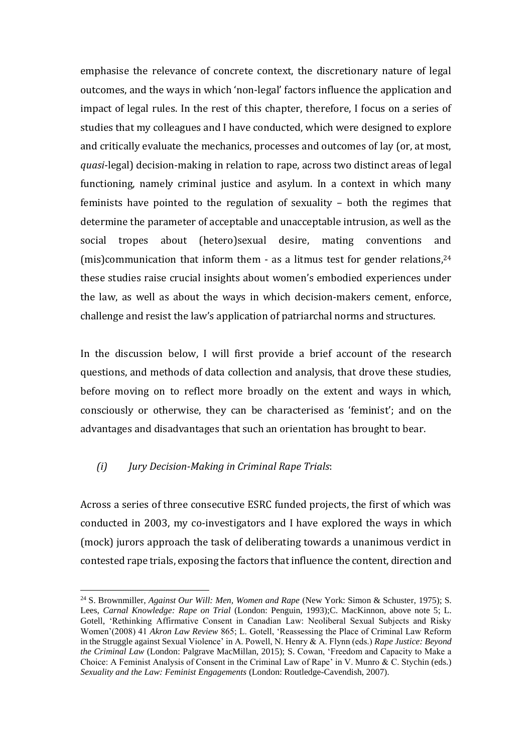emphasise the relevance of concrete context, the discretionary nature of legal outcomes, and the ways in which 'non-legal' factors influence the application and impact of legal rules. In the rest of this chapter, therefore, I focus on a series of studies that my colleagues and I have conducted, which were designed to explore and critically evaluate the mechanics, processes and outcomes of lay (or, at most, *quasi*-legal) decision-making in relation to rape, across two distinct areas of legal functioning, namely criminal justice and asylum. In a context in which many feminists have pointed to the regulation of sexuality – both the regimes that determine the parameter of acceptable and unacceptable intrusion, as well as the social tropes about (hetero)sexual desire, mating conventions and (mis)communication that inform them - as a litmus test for gender relations, 24 these studies raise crucial insights about women's embodied experiences under the law, as well as about the ways in which decision-makers cement, enforce, challenge and resist the law's application of patriarchal norms and structures.

In the discussion below, I will first provide a brief account of the research questions, and methods of data collection and analysis, that drove these studies, before moving on to reflect more broadly on the extent and ways in which, consciously or otherwise, they can be characterised as 'feminist'; and on the advantages and disadvantages that such an orientation has brought to bear.

# *(i) Jury Decision-Making in Criminal Rape Trials*:

 $\overline{\phantom{a}}$ 

Across a series of three consecutive ESRC funded projects, the first of which was conducted in 2003, my co-investigators and I have explored the ways in which (mock) jurors approach the task of deliberating towards a unanimous verdict in contested rape trials, exposing the factors that influence the content, direction and

<sup>&</sup>lt;sup>24</sup> S. Brownmiller, *Against Our Will: Men, Women and Rape* (New York: Simon & Schuster, 1975); S. Lees, *Carnal Knowledge: Rape on Trial* (London: Penguin, 1993);C. MacKinnon, above note 5; L. Gotell, 'Rethinking Affirmative Consent in Canadian Law: Neoliberal Sexual Subjects and Risky Women'(2008) 41 *Akron Law Review* 865; L. Gotell, 'Reassessing the Place of Criminal Law Reform in the Struggle against Sexual Violence' in A. Powell, N. Henry & A. Flynn (eds.) *Rape Justice: Beyond the Criminal Law* (London: Palgrave MacMillan, 2015); S. Cowan, 'Freedom and Capacity to Make a Choice: A Feminist Analysis of Consent in the Criminal Law of Rape' in V. Munro & C. Stychin (eds.) *Sexuality and the Law: Feminist Engagements* (London: Routledge-Cavendish, 2007).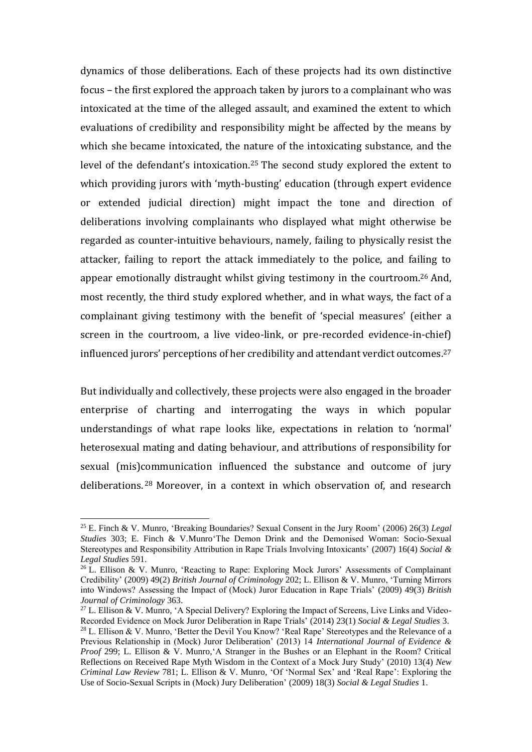dynamics of those deliberations. Each of these projects had its own distinctive focus – the first explored the approach taken by jurors to a complainant who was intoxicated at the time of the alleged assault, and examined the extent to which evaluations of credibility and responsibility might be affected by the means by which she became intoxicated, the nature of the intoxicating substance, and the level of the defendant's intoxication.<sup>25</sup> The second study explored the extent to which providing jurors with 'myth-busting' education (through expert evidence or extended judicial direction) might impact the tone and direction of deliberations involving complainants who displayed what might otherwise be regarded as counter-intuitive behaviours, namely, failing to physically resist the attacker, failing to report the attack immediately to the police, and failing to appear emotionally distraught whilst giving testimony in the courtroom.<sup>26</sup> And, most recently, the third study explored whether, and in what ways, the fact of a complainant giving testimony with the benefit of 'special measures' (either a screen in the courtroom, a live video-link, or pre-recorded evidence-in-chief) influenced jurors' perceptions of her credibility and attendant verdict outcomes. 27

But individually and collectively, these projects were also engaged in the broader enterprise of charting and interrogating the ways in which popular understandings of what rape looks like, expectations in relation to 'normal' heterosexual mating and dating behaviour, and attributions of responsibility for sexual (mis)communication influenced the substance and outcome of jury deliberations. <sup>28</sup> Moreover, in a context in which observation of, and research

<sup>25</sup> E. Finch & V. Munro, 'Breaking Boundaries? Sexual Consent in the Jury Room' (2006) 26(3) *Legal Studies* 303; E. Finch & V.Munro'The Demon Drink and the Demonised Woman: Socio-Sexual Stereotypes and Responsibility Attribution in Rape Trials Involving Intoxicants' (2007) 16(4) *Social & Legal Studies* 591.

<sup>&</sup>lt;sup>26</sup> L. Ellison & V. Munro, 'Reacting to Rape: Exploring Mock Jurors' Assessments of Complainant Credibility' (2009) 49(2) *British Journal of Criminology* 202; L. Ellison & V. Munro, 'Turning Mirrors into Windows? Assessing the Impact of (Mock) Juror Education in Rape Trials' (2009) 49(3) *British Journal of Criminology* 363.

 $27$  L. Ellison & V. Munro, 'A Special Delivery? Exploring the Impact of Screens, Live Links and Video-Recorded Evidence on Mock Juror Deliberation in Rape Trials' (2014) 23(1) *Social & Legal Studies* 3. <sup>28</sup> L. Ellison & V. Munro, 'Better the Devil You Know? 'Real Rape' Stereotypes and the Relevance of a Previous Relationship in (Mock) Juror Deliberation' (2013) 14 *International Journal of Evidence & Proof* 299; L. Ellison & V. Munro,'A Stranger in the Bushes or an Elephant in the Room? Critical Reflections on Received Rape Myth Wisdom in the Context of a Mock Jury Study' (2010) 13(4) *New Criminal Law Review* 781; L. Ellison & V. Munro, 'Of 'Normal Sex' and 'Real Rape': Exploring the Use of Socio-Sexual Scripts in (Mock) Jury Deliberation' (2009) 18(3) *Social & Legal Studies* 1.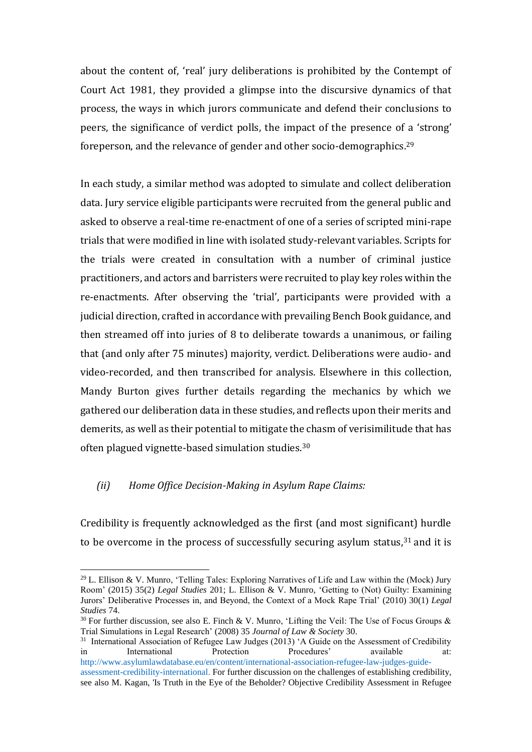about the content of, 'real' jury deliberations is prohibited by the Contempt of Court Act 1981, they provided a glimpse into the discursive dynamics of that process, the ways in which jurors communicate and defend their conclusions to peers, the significance of verdict polls, the impact of the presence of a 'strong' foreperson, and the relevance of gender and other socio-demographics. 29

In each study, a similar method was adopted to simulate and collect deliberation data. Jury service eligible participants were recruited from the general public and asked to observe a real-time re-enactment of one of a series of scripted mini-rape trials that were modified in line with isolated study-relevant variables. Scripts for the trials were created in consultation with a number of criminal justice practitioners, and actors and barristers were recruited to play key roles within the re-enactments. After observing the 'trial', participants were provided with a judicial direction, crafted in accordance with prevailing Bench Book guidance, and then streamed off into juries of 8 to deliberate towards a unanimous, or failing that (and only after 75 minutes) majority, verdict. Deliberations were audio- and video-recorded, and then transcribed for analysis. Elsewhere in this collection, Mandy Burton gives further details regarding the mechanics by which we gathered our deliberation data in these studies, and reflects upon their merits and demerits, as well as their potential to mitigate the chasm of verisimilitude that has often plagued vignette-based simulation studies. 30

## *(ii) Home Office Decision-Making in Asylum Rape Claims:*

 $\overline{a}$ 

Credibility is frequently acknowledged as the first (and most significant) hurdle to be overcome in the process of successfully securing asylum status, <sup>31</sup> and it is

 $29$  L. Ellison & V. Munro, 'Telling Tales: Exploring Narratives of Life and Law within the (Mock) Jury Room' (2015) 35(2) *Legal Studies* 201; L. Ellison & V. Munro, 'Getting to (Not) Guilty: Examining Jurors' Deliberative Processes in, and Beyond, the Context of a Mock Rape Trial' (2010) 30(1) *Legal Studies* 74.

 $30$  For further discussion, see also E. Finch & V. Munro, 'Lifting the Veil: The Use of Focus Groups & Trial Simulations in Legal Research' (2008) 35 *Journal of Law & Society* 30.

<sup>&</sup>lt;sup>31</sup> International Association of Refugee Law Judges (2013) 'A Guide on the Assessment of Credibility in International Protection Procedures' available at: [http://www.asylumlawdatabase.eu/en/content/international-association-refugee-law-judges-guide-](http://www.asylumlawdatabase.eu/en/content/international-association-refugee-law-judges-guide-assessment-credibility-international)

[assessment-credibility-international.](http://www.asylumlawdatabase.eu/en/content/international-association-refugee-law-judges-guide-assessment-credibility-international) For further discussion on the challenges of establishing credibility, see also M. Kagan, 'Is Truth in the Eye of the Beholder? Objective Credibility Assessment in Refugee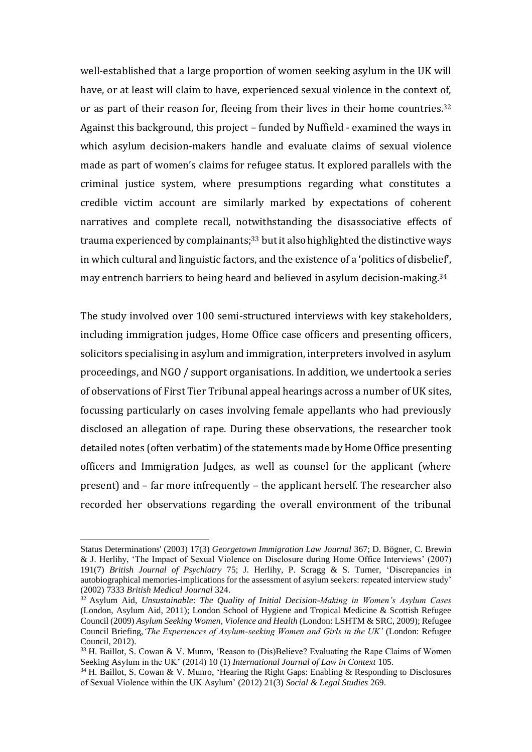well-established that a large proportion of women seeking asylum in the UK will have, or at least will claim to have, experienced sexual violence in the context of, or as part of their reason for, fleeing from their lives in their home countries. 32 Against this background, this project – funded by Nuffield - examined the ways in which asylum decision-makers handle and evaluate claims of sexual violence made as part of women's claims for refugee status. It explored parallels with the criminal justice system, where presumptions regarding what constitutes a credible victim account are similarly marked by expectations of coherent narratives and complete recall, notwithstanding the disassociative effects of trauma experienced by complainants; <sup>33</sup> but it also highlighted the distinctive ways in which cultural and linguistic factors, and the existence of a 'politics of disbelief', may entrench barriers to being heard and believed in asylum decision-making. 34

The study involved over 100 semi-structured interviews with key stakeholders, including immigration judges, Home Office case officers and presenting officers, solicitors specialising in asylum and immigration, interpreters involved in asylum proceedings, and NGO / support organisations. In addition, we undertook a series of observations of First Tier Tribunal appeal hearings across a number of UK sites, focussing particularly on cases involving female appellants who had previously disclosed an allegation of rape. During these observations, the researcher took detailed notes (often verbatim) of the statements made by Home Office presenting officers and Immigration Judges, as well as counsel for the applicant (where present) and – far more infrequently – the applicant herself. The researcher also recorded her observations regarding the overall environment of the tribunal

 $\overline{a}$ 

Status Determinations' (2003) 17(3) *Georgetown Immigration Law Journal* 367; D. Bögner, C. Brewin & J. Herlihy, 'The Impact of Sexual Violence on Disclosure during Home Office Interviews' (2007) 191(7) *British Journal of Psychiatry* 75; J. Herlihy, P. Scragg & S. Turner, 'Discrepancies in autobiographical memories-implications for the assessment of asylum seekers: repeated interview study' (2002) 7333 *British Medical Journal* 324.

<sup>32</sup> Asylum Aid, *Unsustainable*: *The Quality of Initial Decision-Making in Women's Asylum Cases*  (London, Asylum Aid, 2011); London School of Hygiene and Tropical Medicine & Scottish Refugee Council (2009) *Asylum Seeking Women, Violence and Health* (London: LSHTM & SRC, 2009); Refugee Council Briefing,*'The Experiences of Asylum-seeking Women and Girls in the UK'* (London: Refugee Council, 2012).

<sup>33</sup> H. Baillot, S. Cowan & V. Munro, 'Reason to (Dis)Believe? Evaluating the Rape Claims of Women Seeking Asylum in the UK' (2014) 10 (1) *International Journal of Law in Context* 105.

<sup>&</sup>lt;sup>34</sup> H. Baillot, S. Cowan & V. Munro, 'Hearing the Right Gaps: Enabling & Responding to Disclosures of Sexual Violence within the UK Asylum' (2012) 21(3) *Social & Legal Studies* 269.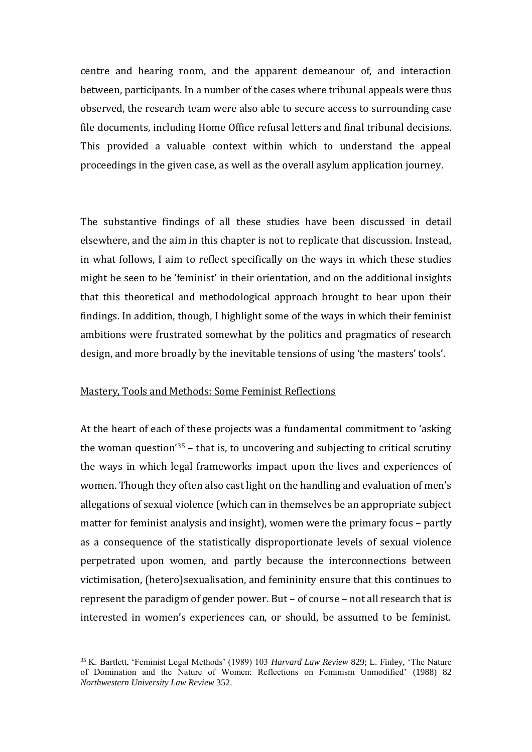centre and hearing room, and the apparent demeanour of, and interaction between, participants. In a number of the cases where tribunal appeals were thus observed, the research team were also able to secure access to surrounding case file documents, including Home Office refusal letters and final tribunal decisions. This provided a valuable context within which to understand the appeal proceedings in the given case, as well as the overall asylum application journey.

The substantive findings of all these studies have been discussed in detail elsewhere, and the aim in this chapter is not to replicate that discussion. Instead, in what follows, I aim to reflect specifically on the ways in which these studies might be seen to be 'feminist' in their orientation, and on the additional insights that this theoretical and methodological approach brought to bear upon their findings. In addition, though, I highlight some of the ways in which their feminist ambitions were frustrated somewhat by the politics and pragmatics of research design, and more broadly by the inevitable tensions of using 'the masters' tools'.

## Mastery, Tools and Methods: Some Feminist Reflections

 $\overline{\phantom{a}}$ 

At the heart of each of these projects was a fundamental commitment to 'asking the woman question'<sup>35</sup> – that is, to uncovering and subjecting to critical scrutiny the ways in which legal frameworks impact upon the lives and experiences of women. Though they often also cast light on the handling and evaluation of men's allegations of sexual violence (which can in themselves be an appropriate subject matter for feminist analysis and insight), women were the primary focus – partly as a consequence of the statistically disproportionate levels of sexual violence perpetrated upon women, and partly because the interconnections between victimisation, (hetero)sexualisation, and femininity ensure that this continues to represent the paradigm of gender power. But – of course – not all research that is interested in women's experiences can, or should, be assumed to be feminist.

<sup>35</sup> K. Bartlett, 'Feminist Legal Methods' (1989) 103 *Harvard Law Review* 829; L. Finley, 'The Nature of Domination and the Nature of Women: Reflections on Feminism Unmodified' (1988) 82 *Northwestern University Law Review* 352.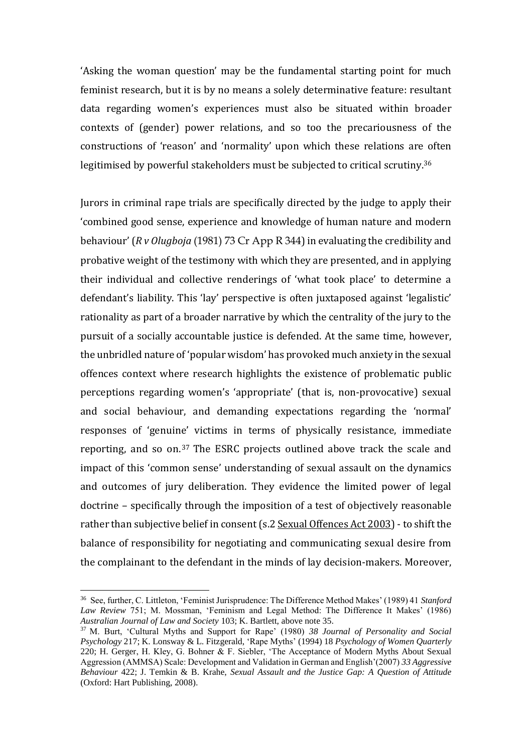'Asking the woman question' may be the fundamental starting point for much feminist research, but it is by no means a solely determinative feature: resultant data regarding women's experiences must also be situated within broader contexts of (gender) power relations, and so too the precariousness of the constructions of 'reason' and 'normality' upon which these relations are often legitimised by powerful stakeholders must be subjected to critical scrutiny. 36

Jurors in criminal rape trials are specifically directed by the judge to apply their 'combined good sense, experience and knowledge of human nature and modern behaviour' (*R v Olugboja* (1981) 73 Cr App R 344) in evaluating the credibility and probative weight of the testimony with which they are presented, and in applying their individual and collective renderings of 'what took place' to determine a defendant's liability. This 'lay' perspective is often juxtaposed against 'legalistic' rationality as part of a broader narrative by which the centrality of the jury to the pursuit of a socially accountable justice is defended. At the same time, however, the unbridled nature of 'popular wisdom' has provoked much anxiety in the sexual offences context where research highlights the existence of problematic public perceptions regarding women's 'appropriate' (that is, non-provocative) sexual and social behaviour, and demanding expectations regarding the 'normal' responses of 'genuine' victims in terms of physically resistance, immediate reporting, and so on. <sup>37</sup> The ESRC projects outlined above track the scale and impact of this 'common sense' understanding of sexual assault on the dynamics and outcomes of jury deliberation. They evidence the limited power of legal doctrine – specifically through the imposition of a test of objectively reasonable rather than subjective belief in consent (s.2 Sexual Offences Act 2003) - to shift the balance of responsibility for negotiating and communicating sexual desire from the complainant to the defendant in the minds of lay decision-makers. Moreover,

<sup>36</sup> See, further, C. Littleton, 'Feminist Jurisprudence: The Difference Method Makes' (1989) 41 *Stanford Law Review* 751; M. Mossman, 'Feminism and Legal Method: The Difference It Makes' (1986) *Australian Journal of Law and Society* 103; K. Bartlett, above note 35.

<sup>37</sup> M. Burt, 'Cultural Myths and Support for Rape' (1980) *38 Journal of Personality and Social Psychology* 217; K. Lonsway & L. Fitzgerald, 'Rape Myths' (1994) 18 *Psychology of Women Quarterly*  220; H. Gerger, H. Kley, G. Bohner & F. Siebler, 'The Acceptance of Modern Myths About Sexual Aggression (AMMSA) Scale: Development and Validation in German and English'(2007) *33 Aggressive Behaviour* 422; J. Temkin & B. Krahe, *Sexual Assault and the Justice Gap: A Question of Attitude* (Oxford: Hart Publishing, 2008).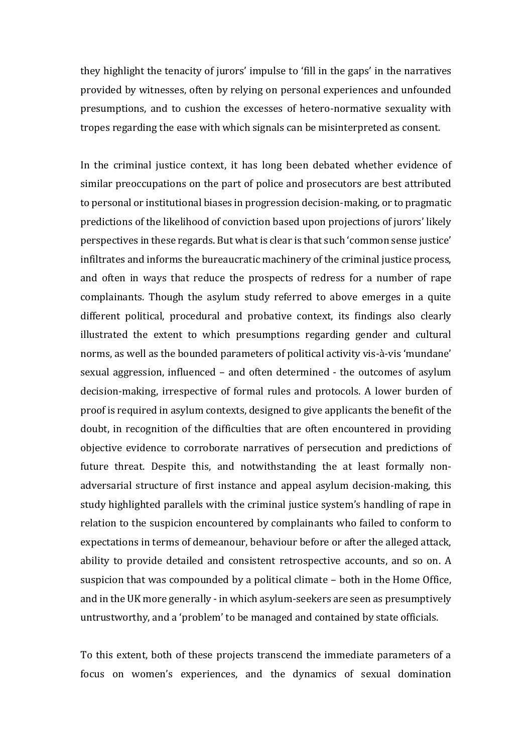they highlight the tenacity of jurors' impulse to 'fill in the gaps' in the narratives provided by witnesses, often by relying on personal experiences and unfounded presumptions, and to cushion the excesses of hetero-normative sexuality with tropes regarding the ease with which signals can be misinterpreted as consent.

In the criminal justice context, it has long been debated whether evidence of similar preoccupations on the part of police and prosecutors are best attributed to personal or institutional biases in progression decision-making, or to pragmatic predictions of the likelihood of conviction based upon projections of jurors' likely perspectives in these regards. But what is clear is that such 'common sense justice' infiltrates and informs the bureaucratic machinery of the criminal justice process, and often in ways that reduce the prospects of redress for a number of rape complainants. Though the asylum study referred to above emerges in a quite different political, procedural and probative context, its findings also clearly illustrated the extent to which presumptions regarding gender and cultural norms, as well as the bounded parameters of political activity vis-à-vis 'mundane' sexual aggression, influenced – and often determined - the outcomes of asylum decision-making, irrespective of formal rules and protocols. A lower burden of proof is required in asylum contexts, designed to give applicants the benefit of the doubt, in recognition of the difficulties that are often encountered in providing objective evidence to corroborate narratives of persecution and predictions of future threat. Despite this, and notwithstanding the at least formally nonadversarial structure of first instance and appeal asylum decision-making, this study highlighted parallels with the criminal justice system's handling of rape in relation to the suspicion encountered by complainants who failed to conform to expectations in terms of demeanour, behaviour before or after the alleged attack, ability to provide detailed and consistent retrospective accounts, and so on. A suspicion that was compounded by a political climate – both in the Home Office, and in the UK more generally - in which asylum-seekers are seen as presumptively untrustworthy, and a 'problem' to be managed and contained by state officials.

To this extent, both of these projects transcend the immediate parameters of a focus on women's experiences, and the dynamics of sexual domination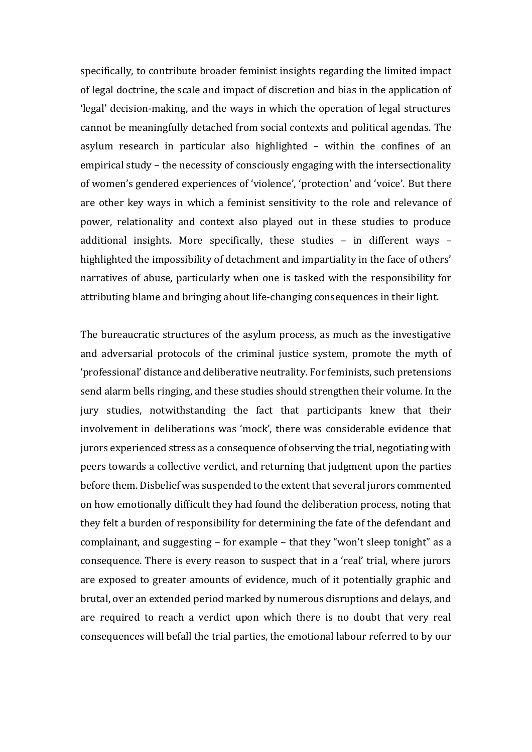specifically, to contribute broader feminist insights regarding the limited impact of legal doctrine, the scale and impact of discretion and bias in the application of 'legal' decision-making, and the ways in which the operation of legal structures cannot be meaningfully detached from social contexts and political agendas. The asylum research in particular also highlighted – within the confines of an empirical study – the necessity of consciously engaging with the intersectionality of women's gendered experiences of 'violence', 'protection' and 'voice'. But there are other key ways in which a feminist sensitivity to the role and relevance of power, relationality and context also played out in these studies to produce additional insights. More specifically, these studies – in different ways – highlighted the impossibility of detachment and impartiality in the face of others' narratives of abuse, particularly when one is tasked with the responsibility for attributing blame and bringing about life-changing consequences in their light.

The bureaucratic structures of the asylum process, as much as the investigative and adversarial protocols of the criminal justice system, promote the myth of 'professional' distance and deliberative neutrality. For feminists, such pretensions send alarm bells ringing, and these studies should strengthen their volume. In the jury studies, notwithstanding the fact that participants knew that their involvement in deliberations was 'mock', there was considerable evidence that jurors experienced stress as a consequence of observing the trial, negotiating with peers towards a collective verdict, and returning that judgment upon the parties before them. Disbelief was suspended to the extent that several jurors commented on how emotionally difficult they had found the deliberation process, noting that they felt a burden of responsibility for determining the fate of the defendant and complainant, and suggesting – for example – that they "won't sleep tonight" as a consequence. There is every reason to suspect that in a 'real' trial, where jurors are exposed to greater amounts of evidence, much of it potentially graphic and brutal, over an extended period marked by numerous disruptions and delays, and are required to reach a verdict upon which there is no doubt that very real consequences will befall the trial parties, the emotional labour referred to by our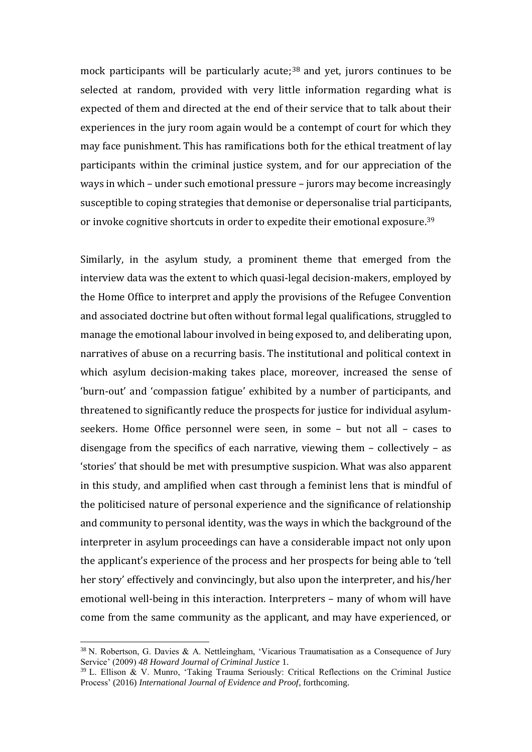mock participants will be particularly acute; <sup>38</sup> and yet, jurors continues to be selected at random, provided with very little information regarding what is expected of them and directed at the end of their service that to talk about their experiences in the jury room again would be a contempt of court for which they may face punishment. This has ramifications both for the ethical treatment of lay participants within the criminal justice system, and for our appreciation of the ways in which – under such emotional pressure – jurors may become increasingly susceptible to coping strategies that demonise or depersonalise trial participants, or invoke cognitive shortcuts in order to expedite their emotional exposure. 39

Similarly, in the asylum study, a prominent theme that emerged from the interview data was the extent to which quasi-legal decision-makers, employed by the Home Office to interpret and apply the provisions of the Refugee Convention and associated doctrine but often without formal legal qualifications, struggled to manage the emotional labour involved in being exposed to, and deliberating upon, narratives of abuse on a recurring basis. The institutional and political context in which asylum decision-making takes place, moreover, increased the sense of 'burn-out' and 'compassion fatigue' exhibited by a number of participants, and threatened to significantly reduce the prospects for justice for individual asylumseekers. Home Office personnel were seen, in some – but not all – cases to disengage from the specifics of each narrative, viewing them – collectively – as 'stories' that should be met with presumptive suspicion. What was also apparent in this study, and amplified when cast through a feminist lens that is mindful of the politicised nature of personal experience and the significance of relationship and community to personal identity, was the ways in which the background of the interpreter in asylum proceedings can have a considerable impact not only upon the applicant's experience of the process and her prospects for being able to 'tell her story' effectively and convincingly, but also upon the interpreter, and his/her emotional well-being in this interaction. Interpreters – many of whom will have come from the same community as the applicant, and may have experienced, or

<sup>38</sup> N. Robertson, G. Davies & A. Nettleingham, 'Vicarious Traumatisation as a Consequence of Jury Service' (2009) *48 Howard Journal of Criminal Justice* 1.

<sup>&</sup>lt;sup>39</sup> L. Ellison & V. Munro, 'Taking Trauma Seriously: Critical Reflections on the Criminal Justice Process' (2016) *International Journal of Evidence and Proof*, forthcoming.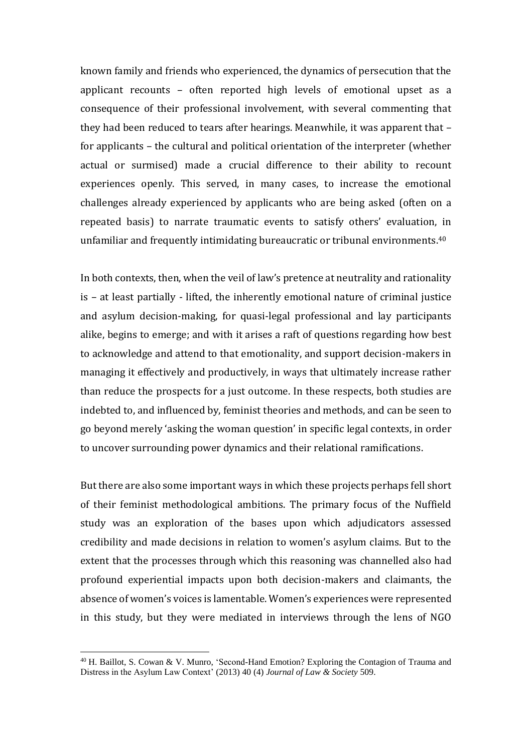known family and friends who experienced, the dynamics of persecution that the applicant recounts – often reported high levels of emotional upset as a consequence of their professional involvement, with several commenting that they had been reduced to tears after hearings. Meanwhile, it was apparent that – for applicants – the cultural and political orientation of the interpreter (whether actual or surmised) made a crucial difference to their ability to recount experiences openly. This served, in many cases, to increase the emotional challenges already experienced by applicants who are being asked (often on a repeated basis) to narrate traumatic events to satisfy others' evaluation, in unfamiliar and frequently intimidating bureaucratic or tribunal environments. 40

In both contexts, then, when the veil of law's pretence at neutrality and rationality is – at least partially - lifted, the inherently emotional nature of criminal justice and asylum decision-making, for quasi-legal professional and lay participants alike, begins to emerge; and with it arises a raft of questions regarding how best to acknowledge and attend to that emotionality, and support decision-makers in managing it effectively and productively, in ways that ultimately increase rather than reduce the prospects for a just outcome. In these respects, both studies are indebted to, and influenced by, feminist theories and methods, and can be seen to go beyond merely 'asking the woman question' in specific legal contexts, in order to uncover surrounding power dynamics and their relational ramifications.

But there are also some important ways in which these projects perhaps fell short of their feminist methodological ambitions. The primary focus of the Nuffield study was an exploration of the bases upon which adjudicators assessed credibility and made decisions in relation to women's asylum claims. But to the extent that the processes through which this reasoning was channelled also had profound experiential impacts upon both decision-makers and claimants, the absence of women's voices is lamentable. Women's experiences were represented in this study, but they were mediated in interviews through the lens of NGO

<sup>40</sup> H. Baillot, S. Cowan & V. Munro, 'Second-Hand Emotion? Exploring the Contagion of Trauma and Distress in the Asylum Law Context' (2013) 40 (4) *Journal of Law & Society* 509.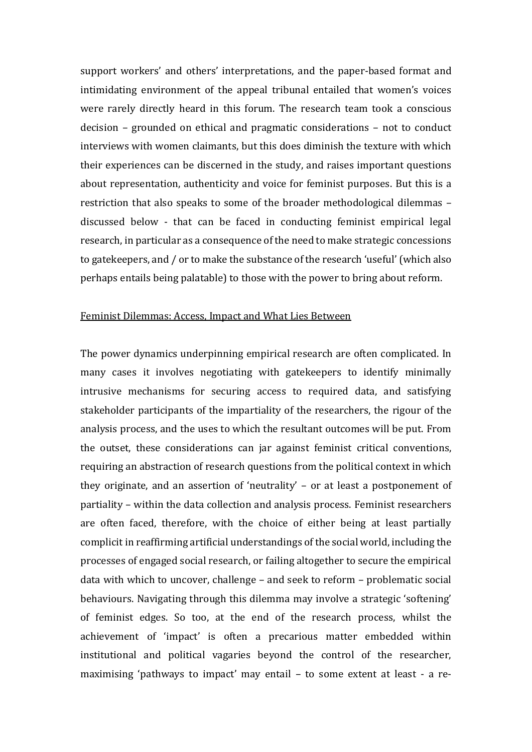support workers' and others' interpretations, and the paper-based format and intimidating environment of the appeal tribunal entailed that women's voices were rarely directly heard in this forum. The research team took a conscious decision – grounded on ethical and pragmatic considerations – not to conduct interviews with women claimants, but this does diminish the texture with which their experiences can be discerned in the study, and raises important questions about representation, authenticity and voice for feminist purposes. But this is a restriction that also speaks to some of the broader methodological dilemmas – discussed below - that can be faced in conducting feminist empirical legal research, in particular as a consequence of the need to make strategic concessions to gatekeepers, and / or to make the substance of the research 'useful' (which also perhaps entails being palatable) to those with the power to bring about reform.

## Feminist Dilemmas: Access, Impact and What Lies Between

The power dynamics underpinning empirical research are often complicated. In many cases it involves negotiating with gatekeepers to identify minimally intrusive mechanisms for securing access to required data, and satisfying stakeholder participants of the impartiality of the researchers, the rigour of the analysis process, and the uses to which the resultant outcomes will be put. From the outset, these considerations can jar against feminist critical conventions, requiring an abstraction of research questions from the political context in which they originate, and an assertion of 'neutrality' – or at least a postponement of partiality – within the data collection and analysis process. Feminist researchers are often faced, therefore, with the choice of either being at least partially complicit in reaffirming artificial understandings of the social world, including the processes of engaged social research, or failing altogether to secure the empirical data with which to uncover, challenge – and seek to reform – problematic social behaviours. Navigating through this dilemma may involve a strategic 'softening' of feminist edges. So too, at the end of the research process, whilst the achievement of 'impact' is often a precarious matter embedded within institutional and political vagaries beyond the control of the researcher, maximising 'pathways to impact' may entail – to some extent at least - a re-